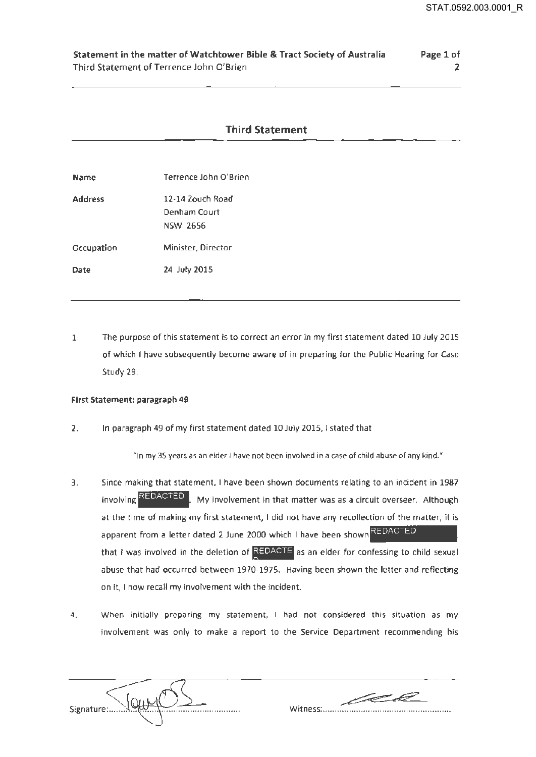2

## Statement in the matter of Watchtower Bible & Tract Society of Australia Third Statement of Terrence John O'Brien Page 1 of

## Third Statement

| <b>Name</b>    | Terrence John O'Brien                               |
|----------------|-----------------------------------------------------|
| <b>Address</b> | 12-14 Zouch Road<br>Denham Court<br><b>NSW 2656</b> |
| Occupation     | Minister, Director                                  |
| Date           | 24 July 2015                                        |

1. The purpose of this statement is to correct an error in my first statement dated 10 July 2015 of which I have subsequently become aware of in preparing for the Public Hearing for Case Study 29.

## First Statement: paragraph 49

2. In paragraph 49 of my first statement dated 10 July 2015, I stated that

"In my 35 years as an elder I have not been involved in a case of child abuse of any kind."

- 3. Since making that statement, I have been shown documents relating to an incident in 1987 involving **REDACTED** My involvement in that matter was as a circuit overseer. Although at the time of making my first statement, I did not have any recollection of the matter, it is apparent from a letter dated 2 June 2000 which I have been shown REDACTED that I was involved in the deletion of REDACTE as an elder for confessing to child sexual abuse that had occurred between 1970-1975. Having been shown the letter and reflecting on it, I now recall my involvement with the incident.
- 4. When initially preparing my statement, I had not considered this situation as my involvement was only to make a report to the Service Department recommending his